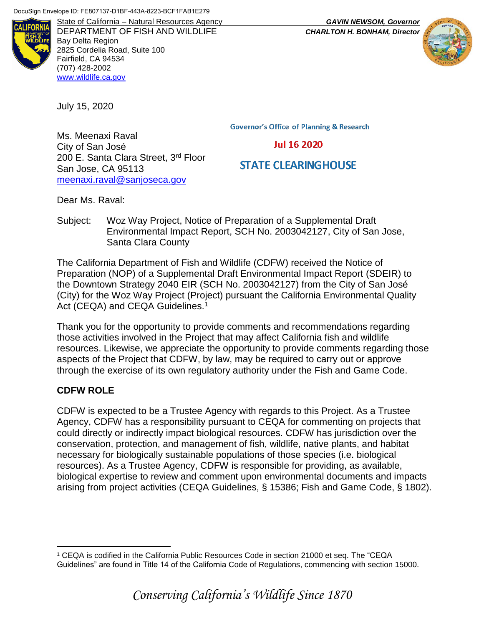

DEPARTMENT OF FISH AND WILDLIFE *CHARLTON H. BONHAM, Director* Bay Delta Region 2825 Cordelia Road, Suite 100 Fairfield, CA 94534 (707) 428-2002 [www.wildlife.ca.gov](http://www.wildlife.ca.gov/)

July 15, 2020

**Governor's Office of Planning & Research** 

**Jul 16 2020** 

# **STATE CLEARINGHOUSE**

Ms. Meenaxi Raval City of San José 200 E. Santa Clara Street, 3<sup>rd</sup> Floor San Jose, CA 95113 [meenaxi.raval@sanjoseca.gov](mailto:meenaxi.raval@sanjoseca.gov)

Dear Ms. Raval:

Subject: Woz Way Project, Notice of Preparation of a Supplemental Draft Environmental Impact Report, SCH No. 2003042127, City of San Jose, Santa Clara County

The California Department of Fish and Wildlife (CDFW) received the Notice of Preparation (NOP) of a Supplemental Draft Environmental Impact Report (SDEIR) to the Downtown Strategy 2040 EIR (SCH No. 2003042127) from the City of San José (City) for the Woz Way Project (Project) pursuant the California Environmental Quality Act (CEQA) and CEQA Guidelines.<sup>1</sup>

Thank you for the opportunity to provide comments and recommendations regarding those activities involved in the Project that may affect California fish and wildlife resources. Likewise, we appreciate the opportunity to provide comments regarding those aspects of the Project that CDFW, by law, may be required to carry out or approve through the exercise of its own regulatory authority under the Fish and Game Code.

#### **CDFW ROLE**

 $\overline{a}$ 

CDFW is expected to be a Trustee Agency with regards to this Project. As a Trustee Agency, CDFW has a responsibility pursuant to CEQA for commenting on projects that could directly or indirectly impact biological resources. CDFW has jurisdiction over the conservation, protection, and management of fish, wildlife, native plants, and habitat necessary for biologically sustainable populations of those species (i.e. biological resources). As a Trustee Agency, CDFW is responsible for providing, as available, biological expertise to review and comment upon environmental documents and impacts arising from project activities (CEQA Guidelines, § 15386; Fish and Game Code, § 1802).

State of California – Natural Resources Agency *GAVIN NEWSOM, Governor*



<sup>1</sup> CEQA is codified in the California Public Resources Code in section 21000 et seq. The "CEQA Guidelines" are found in Title 14 of the California Code of Regulations, commencing with section 15000.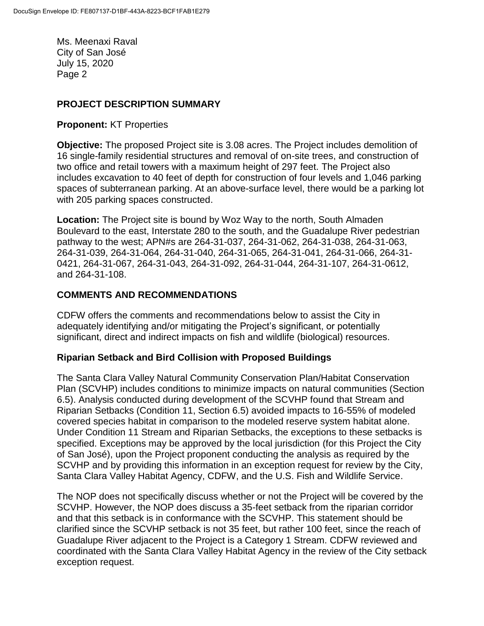## **PROJECT DESCRIPTION SUMMARY**

#### **Proponent:** KT Properties

**Objective:** The proposed Project site is 3.08 acres. The Project includes demolition of 16 single-family residential structures and removal of on-site trees, and construction of two office and retail towers with a maximum height of 297 feet. The Project also includes excavation to 40 feet of depth for construction of four levels and 1,046 parking spaces of subterranean parking. At an above-surface level, there would be a parking lot with 205 parking spaces constructed.

**Location:** The Project site is bound by Woz Way to the north, South Almaden Boulevard to the east, Interstate 280 to the south, and the Guadalupe River pedestrian pathway to the west; APN#s are 264-31-037, 264-31-062, 264-31-038, 264-31-063, 264-31-039, 264-31-064, 264-31-040, 264-31-065, 264-31-041, 264-31-066, 264-31- 0421, 264-31-067, 264-31-043, 264-31-092, 264-31-044, 264-31-107, 264-31-0612, and 264-31-108.

## **COMMENTS AND RECOMMENDATIONS**

CDFW offers the comments and recommendations below to assist the City in adequately identifying and/or mitigating the Project's significant, or potentially significant, direct and indirect impacts on fish and wildlife (biological) resources.

#### **Riparian Setback and Bird Collision with Proposed Buildings**

The Santa Clara Valley Natural Community Conservation Plan/Habitat Conservation Plan (SCVHP) includes conditions to minimize impacts on natural communities (Section 6.5). Analysis conducted during development of the SCVHP found that Stream and Riparian Setbacks (Condition 11, Section 6.5) avoided impacts to 16-55% of modeled covered species habitat in comparison to the modeled reserve system habitat alone. Under Condition 11 Stream and Riparian Setbacks, the exceptions to these setbacks is specified. Exceptions may be approved by the local jurisdiction (for this Project the City of San José), upon the Project proponent conducting the analysis as required by the SCVHP and by providing this information in an exception request for review by the City, Santa Clara Valley Habitat Agency, CDFW, and the U.S. Fish and Wildlife Service.

The NOP does not specifically discuss whether or not the Project will be covered by the SCVHP. However, the NOP does discuss a 35-feet setback from the riparian corridor and that this setback is in conformance with the SCVHP. This statement should be clarified since the SCVHP setback is not 35 feet, but rather 100 feet, since the reach of Guadalupe River adjacent to the Project is a Category 1 Stream. CDFW reviewed and coordinated with the Santa Clara Valley Habitat Agency in the review of the City setback exception request.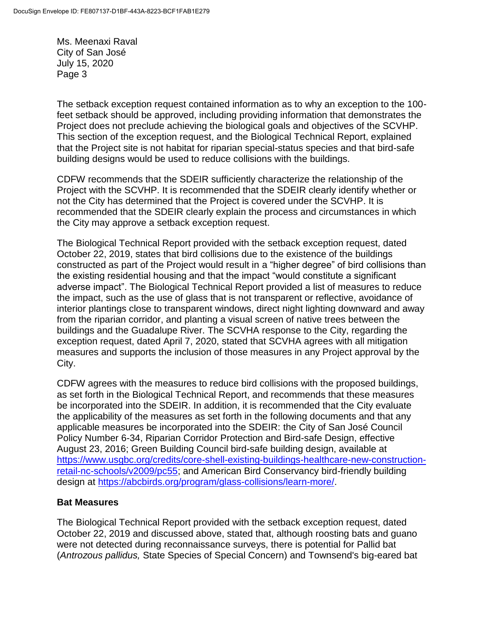The setback exception request contained information as to why an exception to the 100 feet setback should be approved, including providing information that demonstrates the Project does not preclude achieving the biological goals and objectives of the SCVHP. This section of the exception request, and the Biological Technical Report, explained that the Project site is not habitat for riparian special-status species and that bird-safe building designs would be used to reduce collisions with the buildings.

CDFW recommends that the SDEIR sufficiently characterize the relationship of the Project with the SCVHP. It is recommended that the SDEIR clearly identify whether or not the City has determined that the Project is covered under the SCVHP. It is recommended that the SDEIR clearly explain the process and circumstances in which the City may approve a setback exception request.

The Biological Technical Report provided with the setback exception request, dated October 22, 2019, states that bird collisions due to the existence of the buildings constructed as part of the Project would result in a "higher degree" of bird collisions than the existing residential housing and that the impact "would constitute a significant adverse impact". The Biological Technical Report provided a list of measures to reduce the impact, such as the use of glass that is not transparent or reflective, avoidance of interior plantings close to transparent windows, direct night lighting downward and away from the riparian corridor, and planting a visual screen of native trees between the buildings and the Guadalupe River. The SCVHA response to the City, regarding the exception request, dated April 7, 2020, stated that SCVHA agrees with all mitigation measures and supports the inclusion of those measures in any Project approval by the City.

CDFW agrees with the measures to reduce bird collisions with the proposed buildings, as set forth in the Biological Technical Report, and recommends that these measures be incorporated into the SDEIR. In addition, it is recommended that the City evaluate the applicability of the measures as set forth in the following documents and that any applicable measures be incorporated into the SDEIR: the City of San José Council Policy Number 6-34, Riparian Corridor Protection and Bird-safe Design, effective August 23, 2016; Green Building Council bird-safe building design, available at [https://www.usgbc.org/credits/core-shell-existing-buildings-healthcare-new-construction](https://gcc01.safelinks.protection.outlook.com/?url=https%3A%2F%2Fwww.usgbc.org%2Fcredits%2Fcore-shell-existing-buildings-healthcare-new-construction-retail-nc-schools%2Fv2009%2Fpc55&data=02%7C01%7CKristin.Garrison%40wildlife.ca.gov%7Cbf28758cd6d7414e67c508d7b9801ff9%7C4b633c25efbf40069f1507442ba7aa0b%7C0%7C0%7C637181832266171222&sdata=dWcRvbZrQPVHjGtWQZMW7UCdDZETLqXjDogNUsK8AVQ%3D&reserved=0)[retail-nc-schools/v2009/pc55;](https://gcc01.safelinks.protection.outlook.com/?url=https%3A%2F%2Fwww.usgbc.org%2Fcredits%2Fcore-shell-existing-buildings-healthcare-new-construction-retail-nc-schools%2Fv2009%2Fpc55&data=02%7C01%7CKristin.Garrison%40wildlife.ca.gov%7Cbf28758cd6d7414e67c508d7b9801ff9%7C4b633c25efbf40069f1507442ba7aa0b%7C0%7C0%7C637181832266171222&sdata=dWcRvbZrQPVHjGtWQZMW7UCdDZETLqXjDogNUsK8AVQ%3D&reserved=0) and American Bird Conservancy bird-friendly building design at [https://abcbirds.org/program/glass-collisions/learn-more/.](https://abcbirds.org/program/glass-collisions/learn-more/)

#### **Bat Measures**

The Biological Technical Report provided with the setback exception request, dated October 22, 2019 and discussed above, stated that, although roosting bats and guano were not detected during reconnaissance surveys, there is potential for Pallid bat (*Antrozous pallidus,* State Species of Special Concern) and Townsend's big-eared bat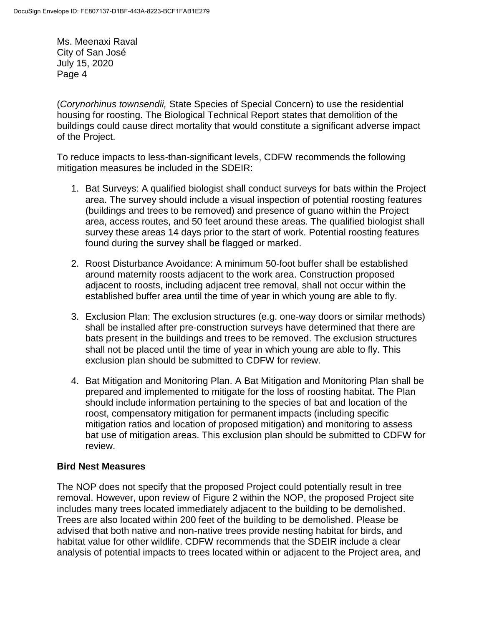(*Corynorhinus townsendii,* State Species of Special Concern) to use the residential housing for roosting. The Biological Technical Report states that demolition of the buildings could cause direct mortality that would constitute a significant adverse impact of the Project.

To reduce impacts to less-than-significant levels, CDFW recommends the following mitigation measures be included in the SDEIR:

- 1. Bat Surveys: A qualified biologist shall conduct surveys for bats within the Project area. The survey should include a visual inspection of potential roosting features (buildings and trees to be removed) and presence of guano within the Project area, access routes, and 50 feet around these areas. The qualified biologist shall survey these areas 14 days prior to the start of work. Potential roosting features found during the survey shall be flagged or marked.
- 2. Roost Disturbance Avoidance: A minimum 50-foot buffer shall be established around maternity roosts adjacent to the work area. Construction proposed adjacent to roosts, including adjacent tree removal, shall not occur within the established buffer area until the time of year in which young are able to fly.
- 3. Exclusion Plan: The exclusion structures (e.g. one-way doors or similar methods) shall be installed after pre-construction surveys have determined that there are bats present in the buildings and trees to be removed. The exclusion structures shall not be placed until the time of year in which young are able to fly. This exclusion plan should be submitted to CDFW for review.
- 4. Bat Mitigation and Monitoring Plan. A Bat Mitigation and Monitoring Plan shall be prepared and implemented to mitigate for the loss of roosting habitat. The Plan should include information pertaining to the species of bat and location of the roost, compensatory mitigation for permanent impacts (including specific mitigation ratios and location of proposed mitigation) and monitoring to assess bat use of mitigation areas. This exclusion plan should be submitted to CDFW for review.

#### **Bird Nest Measures**

The NOP does not specify that the proposed Project could potentially result in tree removal. However, upon review of Figure 2 within the NOP, the proposed Project site includes many trees located immediately adjacent to the building to be demolished. Trees are also located within 200 feet of the building to be demolished. Please be advised that both native and non-native trees provide nesting habitat for birds, and habitat value for other wildlife. CDFW recommends that the SDEIR include a clear analysis of potential impacts to trees located within or adjacent to the Project area, and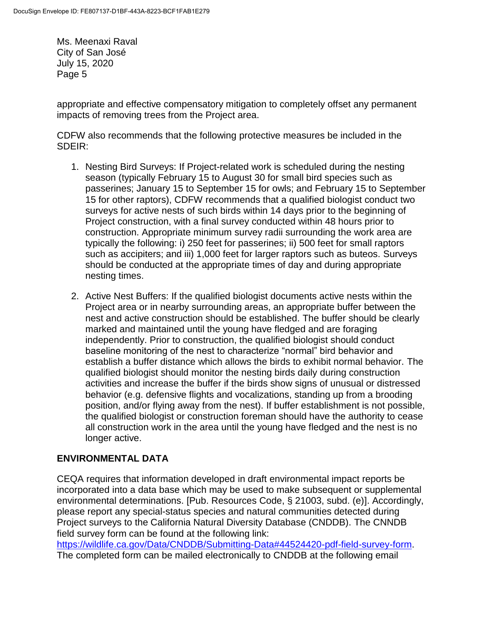appropriate and effective compensatory mitigation to completely offset any permanent impacts of removing trees from the Project area.

CDFW also recommends that the following protective measures be included in the SDEIR:

- 1. Nesting Bird Surveys: If Project-related work is scheduled during the nesting season (typically February 15 to August 30 for small bird species such as passerines; January 15 to September 15 for owls; and February 15 to September 15 for other raptors), CDFW recommends that a qualified biologist conduct two surveys for active nests of such birds within 14 days prior to the beginning of Project construction, with a final survey conducted within 48 hours prior to construction. Appropriate minimum survey radii surrounding the work area are typically the following: i) 250 feet for passerines; ii) 500 feet for small raptors such as accipiters; and iii) 1,000 feet for larger raptors such as buteos. Surveys should be conducted at the appropriate times of day and during appropriate nesting times.
- 2. Active Nest Buffers: If the qualified biologist documents active nests within the Project area or in nearby surrounding areas, an appropriate buffer between the nest and active construction should be established. The buffer should be clearly marked and maintained until the young have fledged and are foraging independently. Prior to construction, the qualified biologist should conduct baseline monitoring of the nest to characterize "normal" bird behavior and establish a buffer distance which allows the birds to exhibit normal behavior. The qualified biologist should monitor the nesting birds daily during construction activities and increase the buffer if the birds show signs of unusual or distressed behavior (e.g. defensive flights and vocalizations, standing up from a brooding position, and/or flying away from the nest). If buffer establishment is not possible, the qualified biologist or construction foreman should have the authority to cease all construction work in the area until the young have fledged and the nest is no longer active.

## **ENVIRONMENTAL DATA**

CEQA requires that information developed in draft environmental impact reports be incorporated into a data base which may be used to make subsequent or supplemental environmental determinations. [Pub. Resources Code, § 21003, subd. (e)]. Accordingly, please report any special-status species and natural communities detected during Project surveys to the California Natural Diversity Database (CNDDB). The CNNDB field survey form can be found at the following link:

[https://wildlife.ca.gov/Data/CNDDB/Submitting-Data#44524420-pdf-field-survey-form.](https://wildlife.ca.gov/Data/CNDDB/Submitting-Data#44524420-pdf-field-survey-form) The completed form can be mailed electronically to CNDDB at the following email